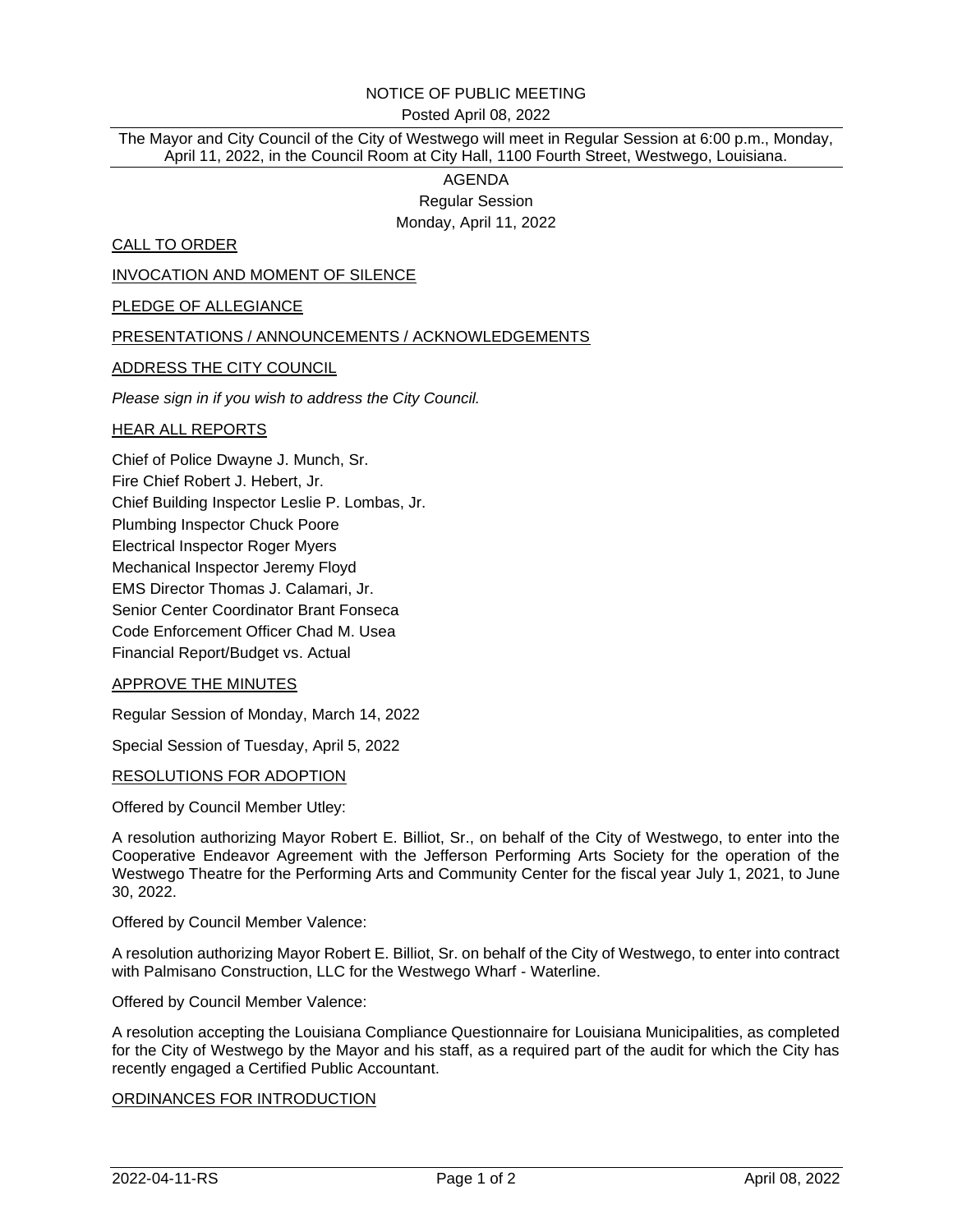# NOTICE OF PUBLIC MEETING

#### Posted April 08, 2022

The Mayor and City Council of the City of Westwego will meet in Regular Session at 6:00 p.m., Monday, April 11, 2022, in the Council Room at City Hall, 1100 Fourth Street, Westwego, Louisiana.

# AGENDA Regular Session Monday, April 11, 2022

CALL TO ORDER

INVOCATION AND MOMENT OF SILENCE

PLEDGE OF ALLEGIANCE

#### PRESENTATIONS / ANNOUNCEMENTS / ACKNOWLEDGEMENTS

ADDRESS THE CITY COUNCIL

*Please sign in if you wish to address the City Council.*

#### HEAR ALL REPORTS

Chief of Police Dwayne J. Munch, Sr. Fire Chief Robert J. Hebert, Jr. Chief Building Inspector Leslie P. Lombas, Jr. Plumbing Inspector Chuck Poore Electrical Inspector Roger Myers Mechanical Inspector Jeremy Floyd EMS Director Thomas J. Calamari, Jr. Senior Center Coordinator Brant Fonseca Code Enforcement Officer Chad M. Usea Financial Report/Budget vs. Actual

#### APPROVE THE MINUTES

Regular Session of Monday, March 14, 2022

Special Session of Tuesday, April 5, 2022

RESOLUTIONS FOR ADOPTION

Offered by Council Member Utley:

A resolution authorizing Mayor Robert E. Billiot, Sr., on behalf of the City of Westwego, to enter into the Cooperative Endeavor Agreement with the Jefferson Performing Arts Society for the operation of the Westwego Theatre for the Performing Arts and Community Center for the fiscal year July 1, 2021, to June 30, 2022.

Offered by Council Member Valence:

A resolution authorizing Mayor Robert E. Billiot, Sr. on behalf of the City of Westwego, to enter into contract with Palmisano Construction, LLC for the Westwego Wharf - Waterline.

Offered by Council Member Valence:

A resolution accepting the Louisiana Compliance Questionnaire for Louisiana Municipalities, as completed for the City of Westwego by the Mayor and his staff, as a required part of the audit for which the City has recently engaged a Certified Public Accountant.

### ORDINANCES FOR INTRODUCTION